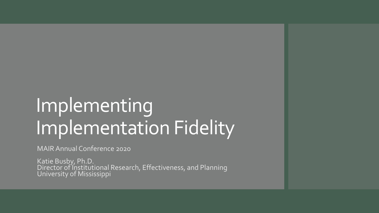## Implementing Implementation Fidelity

MAIR Annual Conference 2020

Katie Busby, Ph.D. Director of Institutional Research, Effectiveness, and Planning University of Mississippi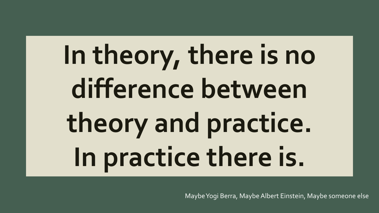# **In theory, there is no difference between theory and practice. In practice there is.**

Maybe Yogi Berra, Maybe Albert Einstein, Maybe someone else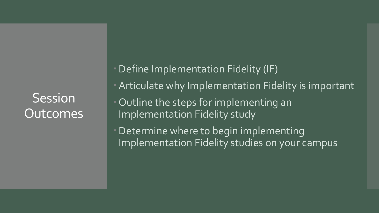**Session** Outcomes Define Implementation Fidelity (IF)

- **Articulate why Implementation Fidelity is important**
- Outline the steps for implementing an Implementation Fidelity study

Determine where to begin implementing Implementation Fidelity studies on your campus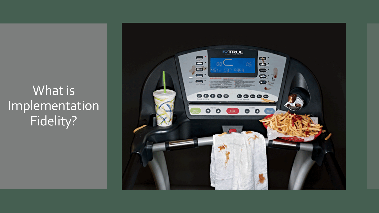What is Implementation Fidelity?

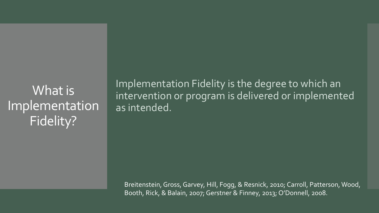What is Implementation Fidelity?

Implementation Fidelity is the degree to which an intervention or program is delivered or implemented as intended.

Breitenstein, Gross, Garvey, Hill, Fogg, & Resnick, 2010; Carroll, Patterson, Wood, Booth, Rick, & Balain, 2007; Gerstner & Finney, 2013; O'Donnell, 2008.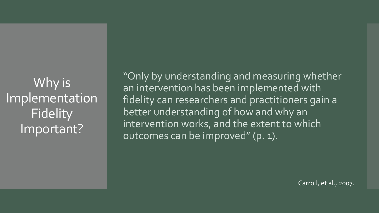Why is Implementation **Fidelity** Important?

"Only by understanding and measuring whether an intervention has been implemented with fidelity can researchers and practitioners gain a better understanding of how and why an intervention works, and the extent to which outcomes can be improved" (p. 1).

Carroll, et al., 2007.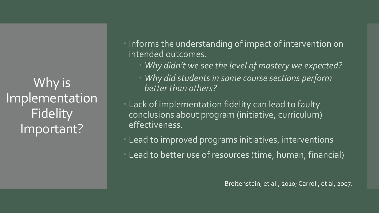Why is Implementation Fidelity Important?

 Informs the understanding of impact of intervention on intended outcomes.

- *Why didn't we see the level of mastery we expected?*
- *Why did students in some course sections perform better than others?*
- Lack of implementation fidelity can lead to faulty conclusions about program (initiative, curriculum) effectiveness.
- Lead to improved programs initiatives, interventions
- Lead to better use of resources (time, human, financial)

Breitenstein, et al., 2010; Carroll, et al, 2007.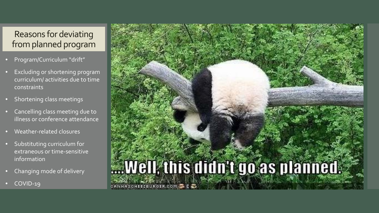#### Reasons for deviating from planned program

- Program/Curriculum "drift"
- Excluding or shortening program curriculum/ activities due to time constraints
- Shortening class meetings
- Cancelling class meeting due to illness or conference attendance
- Weather-related closures
- Substituting curriculum for extraneous or time-sensitive information
- Changing mode of delivery
- COVID-19

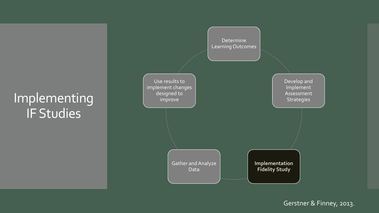## Implementing IF Studies



Gerstner & Finney, 2013.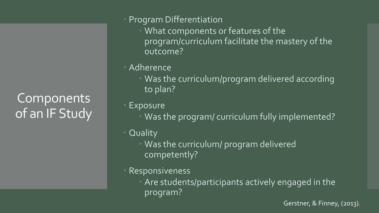**Components** of an IF Study

- Program Differentiation
	- **What components or features of the** program/curriculum facilitate the mastery of the outcome?
- Adherence
	- Was the curriculum/program delivered according to plan?
- Exposure
	- Was the program/ curriculum fully implemented?
- Quality
	- **Was the curriculum/ program delivered** competently?
- Responsiveness
	- Are students/participants actively engaged in the program?

Gerstner, & Finney, (2013).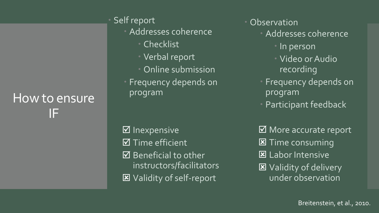### How to ensure IF

Self report

Addresses coherence

- Checklist
- Verbal report
- **Online submission**
- Frequency depends on program

 $\boxtimes$  Inexpensive  $\boxtimes$  Time efficient  $\boxtimes$  Beneficial to other instructors/facilitators Validity of self-report

- **Observation** 
	- Addresses coherence
		- In person
		- Video or Audio recording
	- Frequency depends on program
	- Participant feedback

**Ø** More accurate report **区** Time consuming **E** Labor Intensive Validity of delivery under observation

Breitenstein, et al., 2010.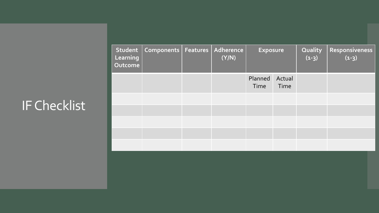## IF Checklist

| <b>Learning</b><br>Outcome | Student   Components   Features | Adherence<br>(Y/N) | <b>Exposure</b> |                | Quality<br>$(1-3)$ | Responsiveness<br>$(1-3)$ |
|----------------------------|---------------------------------|--------------------|-----------------|----------------|--------------------|---------------------------|
|                            |                                 |                    | Planned<br>Time | Actual<br>Time |                    |                           |
|                            |                                 |                    |                 |                |                    |                           |
|                            |                                 |                    |                 |                |                    |                           |
|                            |                                 |                    |                 |                |                    |                           |
|                            |                                 |                    |                 |                |                    |                           |
|                            |                                 |                    |                 |                |                    |                           |
|                            |                                 |                    |                 |                |                    |                           |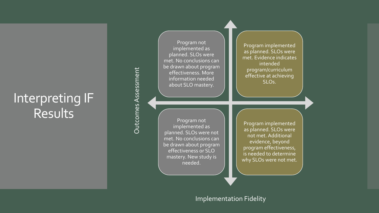#### Interpreting IF Results<sup>1</sup>

Program not implemented as planned. SLOs were met. No conclusions can be drawn about program effectiveness. More information needed about SLO mastery.

**Outcomes Assessment** Outcomes Assessment

Program implemented as planned. SLOs were met. Evidence indicates intended program/curriculum effective at achieving SLOs.

Program not implemented as planned. SLOs were not met. No conclusions can be drawn about program effectiveness or SLO mastery. New study is needed.

Program implemented as planned. SLOs were not met. Additional evidence, beyond program effectiveness, is needed to determine why SLOs were not met.

#### Implementation Fidelity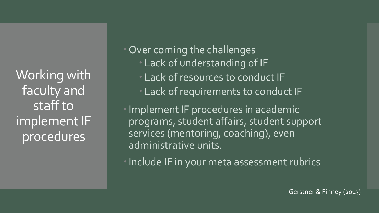Working with faculty and staff to implement IF procedures

 Over coming the challenges Lack of understanding of IF Lack of resources to conduct IF Lack of requirements to conduct IF

Implement IF procedures in academic programs, student affairs, student support services (mentoring, coaching), even administrative units.

• Include IF in your meta assessment rubrics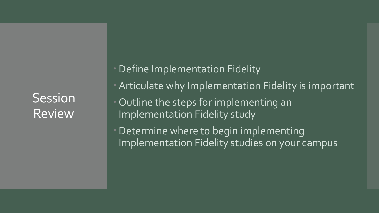**Session** Review

Define Implementation Fidelity

- **Articulate why Implementation Fidelity is important**
- Outline the steps for implementing an Implementation Fidelity study

Determine where to begin implementing Implementation Fidelity studies on your campus